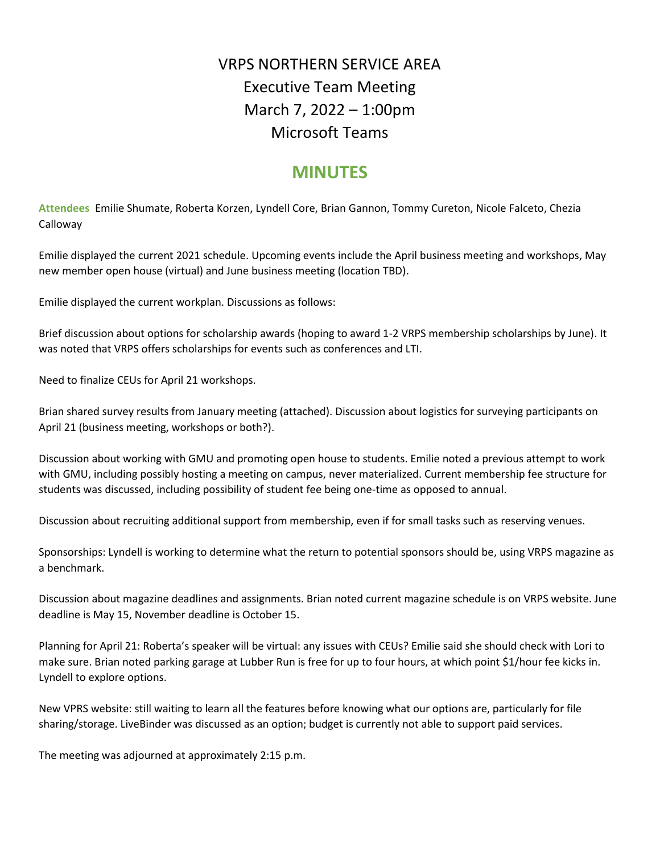## VRPS NORTHERN SERVICE AREA Executive Team Meeting March 7, 2022 – 1:00pm Microsoft Teams

## **MINUTES**

**Attendees** Emilie Shumate, Roberta Korzen, Lyndell Core, Brian Gannon, Tommy Cureton, Nicole Falceto, Chezia Calloway

Emilie displayed the current 2021 schedule. Upcoming events include the April business meeting and workshops, May new member open house (virtual) and June business meeting (location TBD).

Emilie displayed the current workplan. Discussions as follows:

Brief discussion about options for scholarship awards (hoping to award 1-2 VRPS membership scholarships by June). It was noted that VRPS offers scholarships for events such as conferences and LTI.

Need to finalize CEUs for April 21 workshops.

Brian shared survey results from January meeting (attached). Discussion about logistics for surveying participants on April 21 (business meeting, workshops or both?).

Discussion about working with GMU and promoting open house to students. Emilie noted a previous attempt to work with GMU, including possibly hosting a meeting on campus, never materialized. Current membership fee structure for students was discussed, including possibility of student fee being one-time as opposed to annual.

Discussion about recruiting additional support from membership, even if for small tasks such as reserving venues.

Sponsorships: Lyndell is working to determine what the return to potential sponsors should be, using VRPS magazine as a benchmark.

Discussion about magazine deadlines and assignments. Brian noted current magazine schedule is on VRPS website. June deadline is May 15, November deadline is October 15.

Planning for April 21: Roberta's speaker will be virtual: any issues with CEUs? Emilie said she should check with Lori to make sure. Brian noted parking garage at Lubber Run is free for up to four hours, at which point \$1/hour fee kicks in. Lyndell to explore options.

New VPRS website: still waiting to learn all the features before knowing what our options are, particularly for file sharing/storage. LiveBinder was discussed as an option; budget is currently not able to support paid services.

The meeting was adjourned at approximately 2:15 p.m.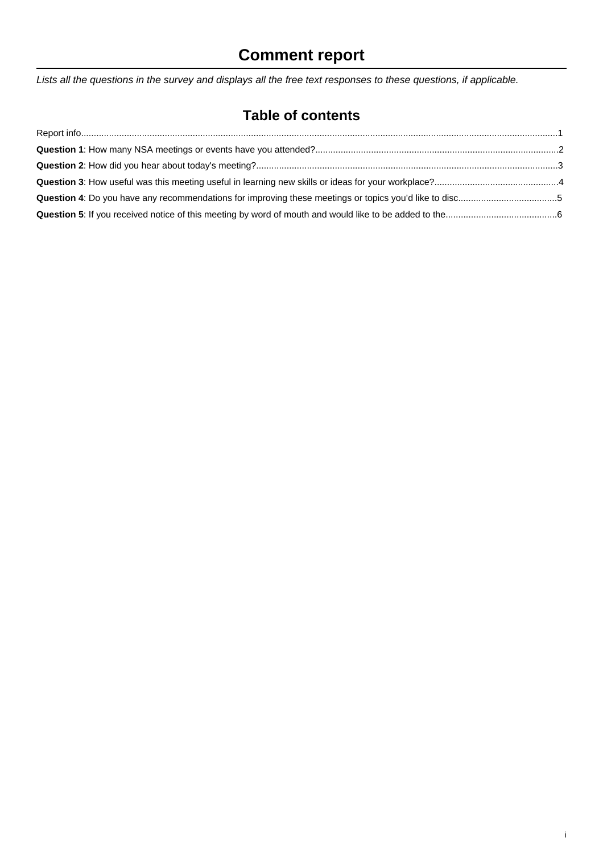# **Comment report**

Lists all the questions in the survey and displays all the free text responses to these questions, if applicable.

### **Table of contents**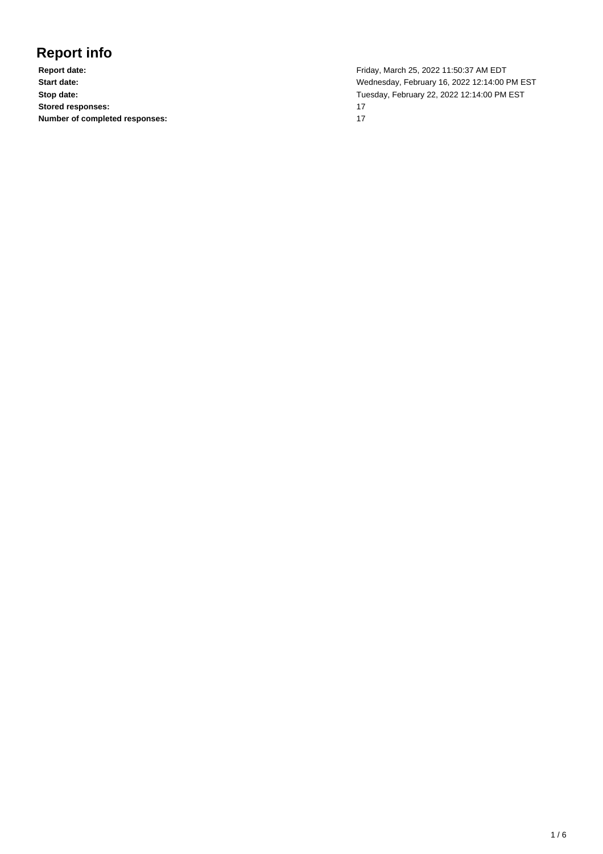## <span id="page-2-0"></span>**Report info**

**Stored responses:** 17 **Number of completed responses:** 17

**Report date:** Friday, March 25, 2022 11:50:37 AM EDT **Start date:** Wednesday, February 16, 2022 12:14:00 PM EST **Stop date:** Tuesday, February 22, 2022 12:14:00 PM EST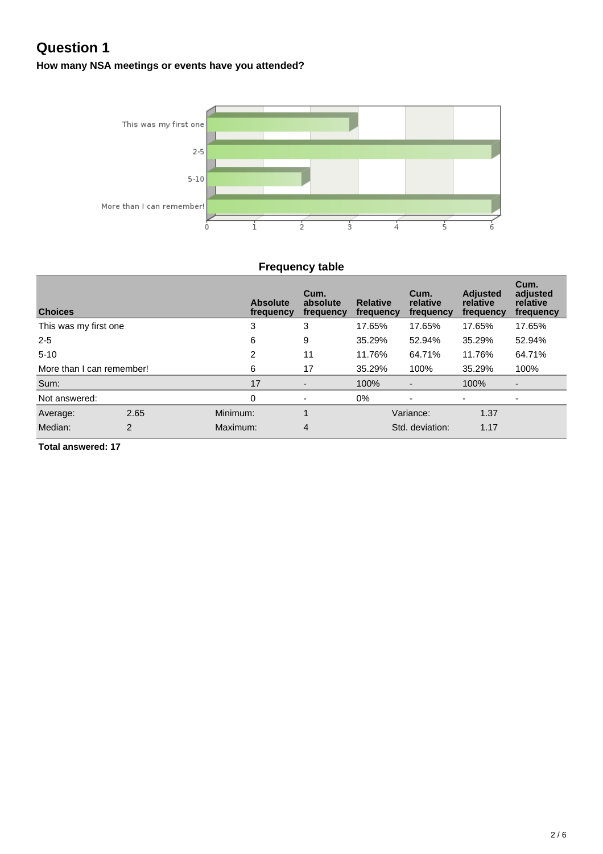### <span id="page-3-0"></span>**How many NSA meetings or events have you attended?**



### **Frequency table**

| <b>Choices</b>            |                |          | <b>Absolute</b><br>frequency | Cum.<br>absolute<br>frequency | <b>Relative</b><br>frequency | Cum.<br>relative<br>frequency | <b>Adjusted</b><br>relative<br>frequency | Cum.<br>adjusted<br>relative<br>frequency |
|---------------------------|----------------|----------|------------------------------|-------------------------------|------------------------------|-------------------------------|------------------------------------------|-------------------------------------------|
| This was my first one     |                |          | 3                            | 3                             | 17.65%                       | 17.65%                        | 17.65%                                   | 17.65%                                    |
| $2 - 5$                   |                |          | 6                            | 9                             | 35.29%                       | 52.94%                        | 35.29%                                   | 52.94%                                    |
| $5 - 10$                  |                |          | $\overline{2}$               | 11                            | 11.76%                       | 64.71%                        | 11.76%                                   | 64.71%                                    |
| More than I can remember! |                |          | 6                            | 17                            | 35.29%                       | 100%                          | 35.29%                                   | 100%                                      |
| Sum:                      |                |          | 17                           |                               | 100%                         |                               | 100%                                     | $\overline{\phantom{0}}$                  |
| Not answered:             |                |          | 0                            | ۰                             | $0\%$                        | $\overline{\phantom{a}}$      |                                          |                                           |
| Average:                  | 2.65           | Minimum: |                              |                               | Variance:<br>1.37            |                               |                                          |                                           |
| Median:                   | $\overline{2}$ | Maximum: |                              | 4                             |                              | Std. deviation:               | 1.17                                     |                                           |

**Total answered: 17**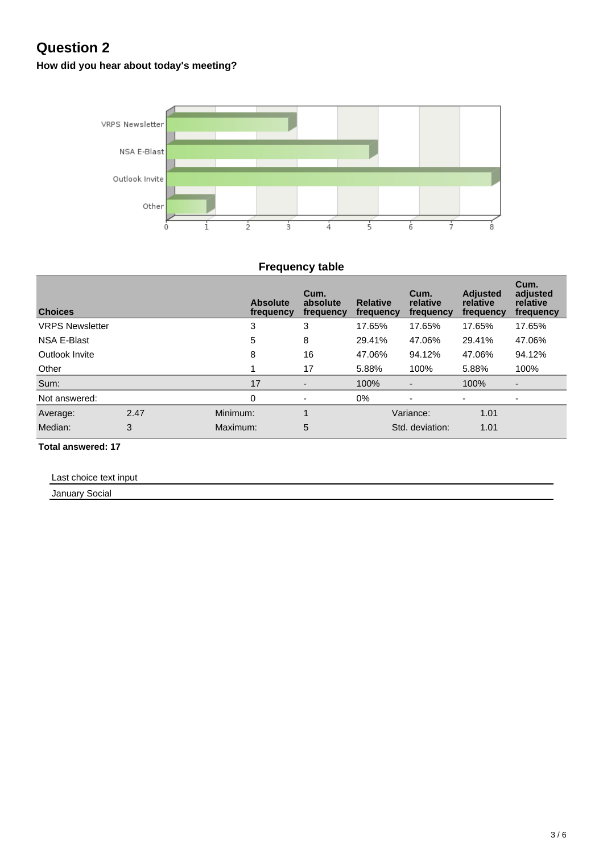### <span id="page-4-0"></span>**How did you hear about today's meeting?**



### **Frequency table**

| <b>Choices</b>         |      |          | <b>Absolute</b><br>frequency | Cum.<br>absolute<br>frequency | <b>Relative</b><br>frequency | Cum.<br>relative<br>frequency | <b>Adjusted</b><br>relative<br>frequency | Cum.<br>adjusted<br>relative<br>frequency |
|------------------------|------|----------|------------------------------|-------------------------------|------------------------------|-------------------------------|------------------------------------------|-------------------------------------------|
| <b>VRPS Newsletter</b> |      |          | 3                            | 3                             | 17.65%                       | 17.65%                        | 17.65%                                   | 17.65%                                    |
| <b>NSA E-Blast</b>     |      |          | 5                            | 8                             | 29.41%                       | 47.06%                        | 29.41%                                   | 47.06%                                    |
| Outlook Invite         |      |          | 8                            | 16                            | 47.06%                       | 94.12%                        | 47.06%                                   | 94.12%                                    |
| Other                  |      |          |                              | 17                            | 5.88%                        | 100%                          | 5.88%                                    | 100%                                      |
| Sum:                   |      |          | 17                           |                               | 100%                         | $\overline{\phantom{0}}$      | 100%                                     | $\overline{\phantom{a}}$                  |
| Not answered:          |      |          | 0                            |                               | $0\%$                        | $\overline{\phantom{0}}$      |                                          |                                           |
| Average:               | 2.47 | Minimum: |                              |                               |                              | Variance:<br>1.01             |                                          |                                           |
| Median:                | 3    | Maximum: |                              | 5                             |                              | Std. deviation:               | 1.01                                     |                                           |

#### **Total answered: 17**

Last choice text input

January Social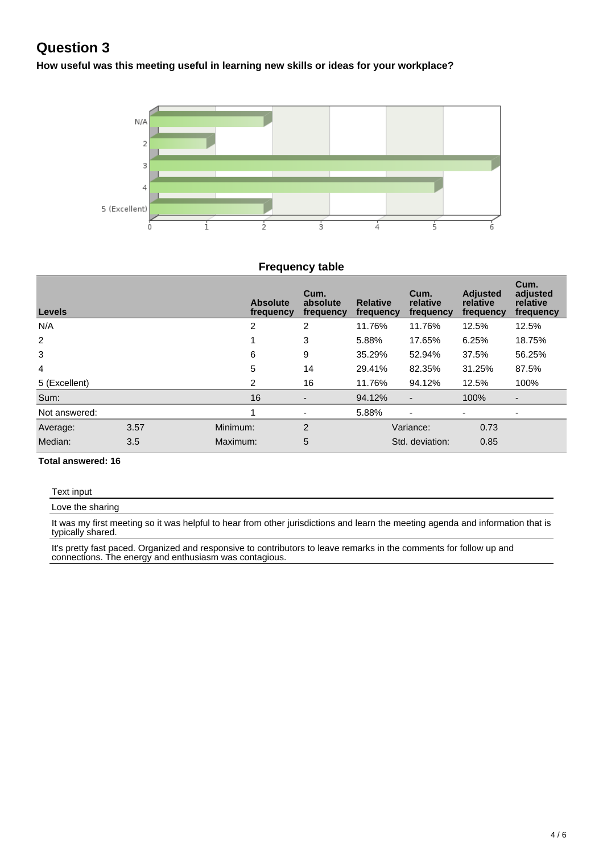<span id="page-5-0"></span>**How useful was this meeting useful in learning new skills or ideas for your workplace?**



### **Frequency table**

| <b>Levels</b>  |      | <b>Absolute</b><br>frequency | Cum.<br>absolute<br>frequency | <b>Relative</b><br>frequency | Cum.<br>relative<br>frequency | <b>Adjusted</b><br>relative<br>frequency | Cum.<br>adjusted<br>relative<br>frequency |
|----------------|------|------------------------------|-------------------------------|------------------------------|-------------------------------|------------------------------------------|-------------------------------------------|
| N/A            |      | $\overline{2}$               | 2                             | 11.76%                       | 11.76%                        | 12.5%                                    | 12.5%                                     |
| 2              |      |                              | 3                             | 5.88%                        | 17.65%                        | 6.25%                                    | 18.75%                                    |
| 3              |      | 6                            | 9                             | 35.29%                       | 52.94%                        | 37.5%                                    | 56.25%                                    |
| $\overline{4}$ |      | 5                            | 14                            | 29.41%                       | 82.35%                        | 31.25%                                   | 87.5%                                     |
| 5 (Excellent)  |      | $\overline{2}$               | 16                            | 11.76%                       | 94.12%                        | 12.5%                                    | 100%                                      |
| Sum:           |      | 16                           |                               | 94.12%                       |                               | 100%                                     | $\overline{\phantom{a}}$                  |
| Not answered:  |      |                              |                               | 5.88%                        | $\overline{\phantom{0}}$      | ۰                                        | $\overline{\phantom{0}}$                  |
| Average:       | 3.57 | Minimum:                     | $\overline{2}$                |                              | Variance:<br>0.73             |                                          |                                           |
| Median:        | 3.5  | Maximum:                     | 5                             |                              | Std. deviation:               | 0.85                                     |                                           |

#### **Total answered: 16**

#### Text input

#### Love the sharing

It was my first meeting so it was helpful to hear from other jurisdictions and learn the meeting agenda and information that is typically shared.

It's pretty fast paced. Organized and responsive to contributors to leave remarks in the comments for follow up and connections. The energy and enthusiasm was contagious.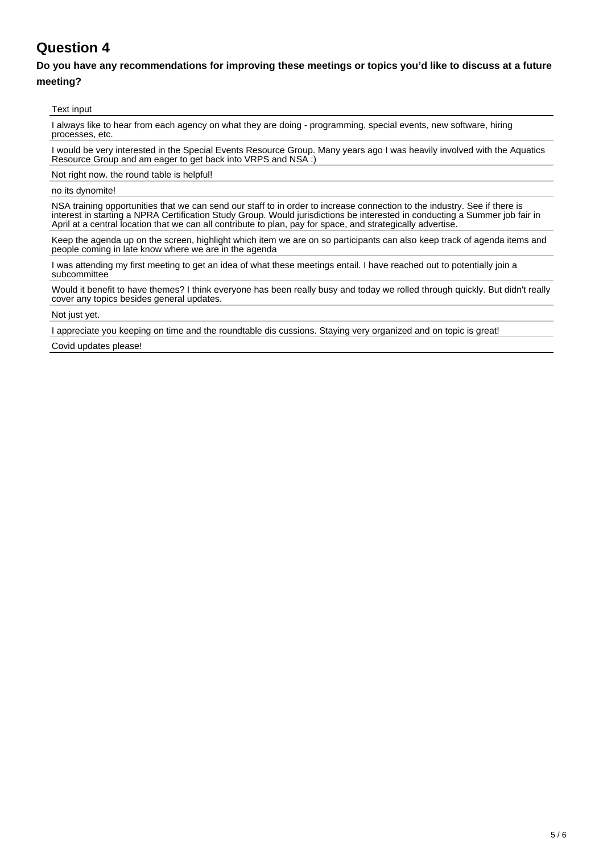### <span id="page-6-0"></span>**Do you have any recommendations for improving these meetings or topics you'd like to discuss at a future meeting?**

#### Text input

I always like to hear from each agency on what they are doing - programming, special events, new software, hiring processes, etc.

I would be very interested in the Special Events Resource Group. Many years ago I was heavily involved with the Aquatics Resource Group and am eager to get back into VRPS and NSA :)

Not right now. the round table is helpful!

#### no its dynomite!

NSA training opportunities that we can send our staff to in order to increase connection to the industry. See if there is interest in starting a NPRA Certification Study Group. Would jurisdictions be interested in conducting a Summer job fair in April at a central location that we can all contribute to plan, pay for space, and strategically advertise.

Keep the agenda up on the screen, highlight which item we are on so participants can also keep track of agenda items and people coming in late know where we are in the agenda

I was attending my first meeting to get an idea of what these meetings entail. I have reached out to potentially join a subcommittee

Would it benefit to have themes? I think everyone has been really busy and today we rolled through quickly. But didn't really cover any topics besides general updates.

#### Not just yet.

I appreciate you keeping on time and the roundtable dis cussions. Staying very organized and on topic is great!

Covid updates please!